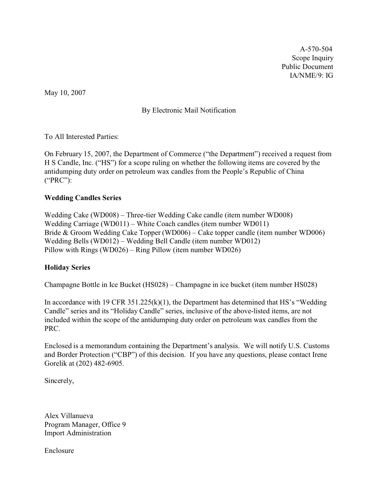A-570-504 Scope Inquiry Public Document IA/NME/9: IG

May 10, 2007

By Electronic Mail Notification

To All Interested Parties:

On February 15, 2007, the Department of Commerce ("the Department") received a request from H S Candle, Inc. ("HS") for a scope ruling on whether the following items are covered by the antidumping duty order on petroleum wax candles from the People's Republic of China ("PRC"):

## **Wedding Candles Series**

Wedding Cake (WD008) – Three-tier Wedding Cake candle (item number WD008) Wedding Carriage (WD011) – White Coach candles (item number WD011) Bride & Groom Wedding Cake Topper (WD006) – Cake topper candle (item number WD006) Wedding Bells (WD012) – Wedding Bell Candle (item number WD012) Pillow with Rings (WD026) – Ring Pillow (item number WD026)

#### **Holiday Series**

Champagne Bottle in Ice Bucket (HS028) – Champagne in ice bucket (item number HS028)

In accordance with 19 CFR  $351.225(k)(1)$ , the Department has determined that HS's "Wedding" Candle" series and its "Holiday Candle" series, inclusive of the above-listed items, are not included within the scope of the antidumping duty order on petroleum wax candles from the PRC.

Enclosed is a memorandum containing the Department's analysis. We will notify U.S. Customs and Border Protection ("CBP") of this decision. If you have any questions, please contact Irene Gorelik at (202) 482-6905.

Sincerely,

Alex Villanueva Program Manager, Office 9 Import Administration

Enclosure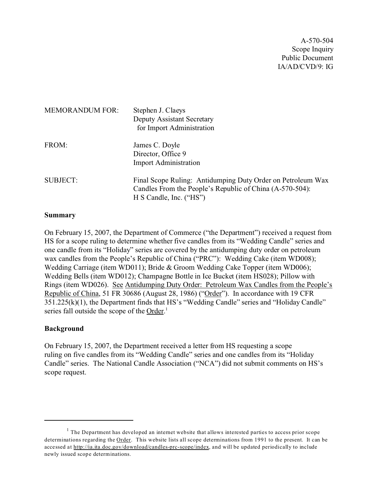A-570-504 Scope Inquiry Public Document IA/AD/CVD/9: IG

| <b>MEMORANDUM FOR:</b> | Stephen J. Claeys<br><b>Deputy Assistant Secretary</b><br>for Import Administration                                                                |
|------------------------|----------------------------------------------------------------------------------------------------------------------------------------------------|
| FROM:                  | James C. Doyle<br>Director, Office 9<br><b>Import Administration</b>                                                                               |
| <b>SUBJECT:</b>        | Final Scope Ruling: Antidumping Duty Order on Petroleum Wax<br>Candles From the People's Republic of China (A-570-504):<br>H S Candle, Inc. ("HS") |

#### **Summary**

On February 15, 2007, the Department of Commerce ("the Department") received a request from HS for a scope ruling to determine whether five candles from its "Wedding Candle" series and one candle from its "Holiday" series are covered by the antidumping duty order on petroleum wax candles from the People's Republic of China ("PRC"): Wedding Cake (item WD008); Wedding Carriage (item WD011); Bride & Groom Wedding Cake Topper (item WD006); Wedding Bells (item WD012); Champagne Bottle in Ice Bucket (item HS028); Pillow with Rings (item WD026). See Antidumping Duty Order: Petroleum Wax Candles from the People's Republic of China, 51 FR 30686 (August 28, 1986) ("Order"). In accordance with 19 CFR 351.225(k)(1), the Department finds that HS's "Wedding Candle" series and "Holiday Candle" series fall outside the scope of the Order.<sup>1</sup>

#### **Background**

On February 15, 2007, the Department received a letter from HS requesting a scope ruling on five candles from its "Wedding Candle" series and one candles from its "Holiday Candle" series. The National Candle Association ("NCA") did not submit comments on HS's scope request.

 $<sup>1</sup>$  The Department has developed an internet website that allows interested parties to access prior scope</sup> determinations regarding the Order. This website lists all scope determinations from 1991 to the present. It can be accessed at [http://ia.ita.doc.gov/download/candles-prc-scope/index,](http://ia.ita.doc.gov/download/candles-prc-scope/,) and will be updated periodically to include newly issued scope determinations.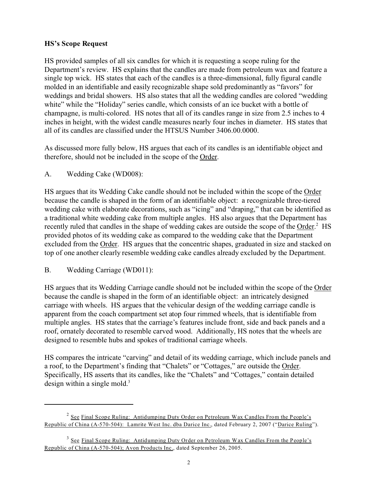# **HS's Scope Request**

HS provided samples of all six candles for which it is requesting a scope ruling for the Department's review. HS explains that the candles are made from petroleum wax and feature a single top wick. HS states that each of the candles is a three-dimensional, fully figural candle molded in an identifiable and easily recognizable shape sold predominantly as "favors" for weddings and bridal showers. HS also states that all the wedding candles are colored "wedding white" while the "Holiday" series candle, which consists of an ice bucket with a bottle of champagne, is multi-colored. HS notes that all of its candles range in size from 2.5 inches to 4 inches in height, with the widest candle measures nearly four inches in diameter. HS states that all of its candles are classified under the HTSUS Number 3406.00.0000.

As discussed more fully below, HS argues that each of its candles is an identifiable object and therefore, should not be included in the scope of the Order.

## A. Wedding Cake (WD008):

HS argues that its Wedding Cake candle should not be included within the scope of the Order because the candle is shaped in the form of an identifiable object: a recognizable three-tiered wedding cake with elaborate decorations, such as "icing" and "draping," that can be identified as a traditional white wedding cake from multiple angles. HS also argues that the Department has recently ruled that candles in the shape of wedding cakes are outside the scope of the Order.<sup>2</sup> HS provided photos of its wedding cake as compared to the wedding cake that the Department excluded from the Order. HS argues that the concentric shapes, graduated in size and stacked on top of one another clearly resemble wedding cake candles already excluded by the Department.

# B. Wedding Carriage (WD011):

HS argues that its Wedding Carriage candle should not be included within the scope of the Order because the candle is shaped in the form of an identifiable object: an intricately designed carriage with wheels. HS argues that the vehicular design of the wedding carriage candle is apparent from the coach compartment set atop four rimmed wheels, that is identifiable from multiple angles. HS states that the carriage's features include front, side and back panels and a roof, ornately decorated to resemble carved wood. Additionally, HS notes that the wheels are designed to resemble hubs and spokes of traditional carriage wheels.

HS compares the intricate "carving" and detail of its wedding carriage, which include panels and a roof, to the Department's finding that "Chalets" or "Cottages," are outside the Order. Specifically, HS asserts that its candles, like the "Chalets" and "Cottages," contain detailed design within a single mold. $3$ 

<sup>&</sup>lt;sup>2</sup> See Final Scope Ruling: Antidumping Duty Order on Petroleum Wax Candles From the People's Republic of China (A-570-504): Lamrite West Inc. dba Darice Inc., dated February 2, 2007 ("Darice Ruling").

<sup>&</sup>lt;sup>3</sup> See Final Scope Ruling: Antidumping Duty Order on Petroleum Wax Candles From the People's Republic of China (A-570-504); Avon Products Inc., dated September 26, 2005.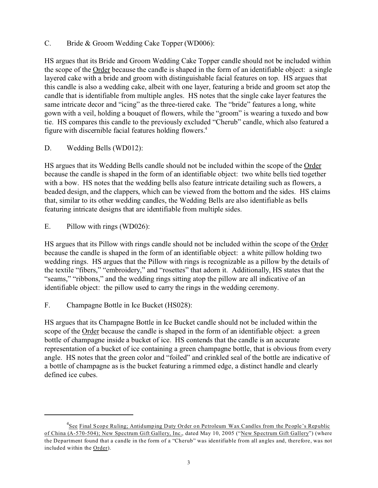C. Bride & Groom Wedding Cake Topper (WD006):

HS argues that its Bride and Groom Wedding Cake Topper candle should not be included within the scope of the Order because the candle is shaped in the form of an identifiable object: a single layered cake with a bride and groom with distinguishable facial features on top. HS argues that this candle is also a wedding cake, albeit with one layer, featuring a bride and groom set atop the candle that is identifiable from multiple angles. HS notes that the single cake layer features the same intricate decor and "icing" as the three-tiered cake. The "bride" features a long, white gown with a veil, holding a bouquet of flowers, while the "groom" is wearing a tuxedo and bow tie. HS compares this candle to the previously excluded "Cherub" candle, which also featured a figure with discernible facial features holding flowers.<sup>4</sup>

D. Wedding Bells (WD012):

HS argues that its Wedding Bells candle should not be included within the scope of the Order because the candle is shaped in the form of an identifiable object: two white bells tied together with a bow. HS notes that the wedding bells also feature intricate detailing such as flowers, a beaded design, and the clappers, which can be viewed from the bottom and the sides. HS claims that, similar to its other wedding candles, the Wedding Bells are also identifiable as bells featuring intricate designs that are identifiable from multiple sides.

E. Pillow with rings (WD026):

HS argues that its Pillow with rings candle should not be included within the scope of the Order because the candle is shaped in the form of an identifiable object: a white pillow holding two wedding rings. HS argues that the Pillow with rings is recognizable as a pillow by the details of the textile "fibers," "embroidery," and "rosettes" that adorn it. Additionally, HS states that the "seams," "ribbons," and the wedding rings sitting atop the pillow are all indicative of an identifiable object: the pillow used to carry the rings in the wedding ceremony.

F. Champagne Bottle in Ice Bucket (HS028):

HS argues that its Champagne Bottle in Ice Bucket candle should not be included within the scope of the Order because the candle is shaped in the form of an identifiable object: a green bottle of champagne inside a bucket of ice. HS contends that the candle is an accurate representation of a bucket of ice containing a green champagne bottle, that is obvious from every angle. HS notes that the green color and "foiled" and crinkled seal of the bottle are indicative of a bottle of champagne as is the bucket featuring a rimmed edge, a distinct handle and clearly defined ice cubes.

<sup>&</sup>lt;sup>4</sup>See Final Scope Ruling; Antidumping Duty Order on Petroleum Wax Candles from the People's Republic of China (A-570-504); New Spectrum Gift Gallery, Inc., dated May 10, 2005 ("New Spectrum Gift Gallery") (where the Department found that a candle in the form of a "Cherub" was identifiable from all angles and, therefore, was not included within the Order).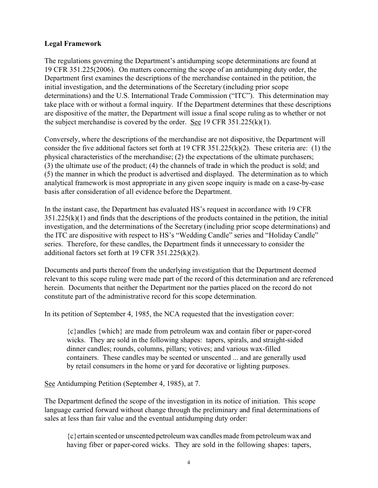# **Legal Framework**

The regulations governing the Department's antidumping scope determinations are found at 19 CFR 351.225(2006). On matters concerning the scope of an antidumping duty order, the Department first examines the descriptions of the merchandise contained in the petition, the initial investigation, and the determinations of the Secretary (including prior scope determinations) and the U.S. International Trade Commission ("ITC"). This determination may take place with or without a formal inquiry. If the Department determines that these descriptions are dispositive of the matter, the Department will issue a final scope ruling as to whether or not the subject merchandise is covered by the order. See 19 CFR 351.225(k)(1).

Conversely, where the descriptions of the merchandise are not dispositive, the Department will consider the five additional factors set forth at 19 CFR 351.225(k)(2). These criteria are: (1) the physical characteristics of the merchandise; (2) the expectations of the ultimate purchasers; (3) the ultimate use of the product; (4) the channels of trade in which the product is sold; and (5) the manner in which the product is advertised and displayed. The determination as to which analytical framework is most appropriate in any given scope inquiry is made on a case-by-case basis after consideration of all evidence before the Department.

In the instant case, the Department has evaluated HS's request in accordance with 19 CFR  $351.225(k)(1)$  and finds that the descriptions of the products contained in the petition, the initial investigation, and the determinations of the Secretary (including prior scope determinations) and the ITC are dispositive with respect to HS's "Wedding Candle" series and "Holiday Candle" series. Therefore, for these candles, the Department finds it unnecessary to consider the additional factors set forth at 19 CFR 351.225(k)(2).

Documents and parts thereof from the underlying investigation that the Department deemed relevant to this scope ruling were made part of the record of this determination and are referenced herein. Documents that neither the Department nor the parties placed on the record do not constitute part of the administrative record for this scope determination.

In its petition of September 4, 1985, the NCA requested that the investigation cover:

{c}andles {which} are made from petroleum wax and contain fiber or paper-cored wicks. They are sold in the following shapes: tapers, spirals, and straight-sided dinner candles; rounds, columns, pillars; votives; and various wax-filled containers. These candles may be scented or unscented ... and are generally used by retail consumers in the home or yard for decorative or lighting purposes.

See Antidumping Petition (September 4, 1985), at 7.

The Department defined the scope of the investigation in its notice of initiation. This scope language carried forward without change through the preliminary and final determinations of sales at less than fair value and the eventual antidumping duty order:

{c}ertain scented or unscented petroleum wax candles made from petroleum wax and having fiber or paper-cored wicks. They are sold in the following shapes: tapers,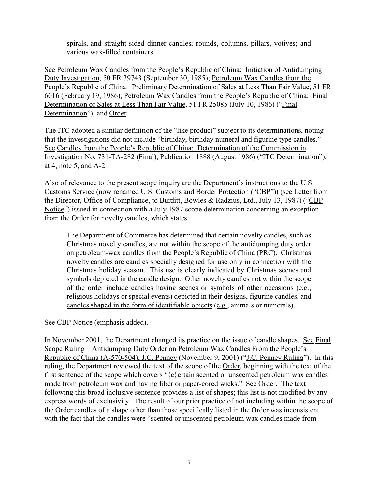spirals, and straight-sided dinner candles; rounds, columns, pillars, votives; and various wax-filled containers.

See Petroleum Wax Candles from the People's Republic of China: Initiation of Antidumping Duty Investigation, 50 FR 39743 (September 30, 1985); Petroleum Wax Candles from the People's Republic of China: Preliminary Determination of Sales at Less Than Fair Value, 51 FR 6016 (February 19, 1986); Petroleum Wax Candles from the People's Republic of China: Final Determination of Sales at Less Than Fair Value, 51 FR 25085 (July 10, 1986) ("Final Determination"); and Order.

The ITC adopted a similar definition of the "like product" subject to its determinations, noting that the investigations did not include "birthday, birthday numeral and figurine type candles." See Candles from the People's Republic of China: Determination of the Commission in Investigation No. 731-TA-282 (Final), Publication 1888 (August 1986) ("ITC Determination"), at 4, note 5, and A-2.

Also of relevance to the present scope inquiry are the Department's instructions to the U.S. Customs Service (now renamed U.S. Customs and Border Protection ("CBP")) (see Letter from the Director, Office of Compliance, to Burditt, Bowles & Radzius, Ltd., July 13, 1987) ("CBP Notice") issued in connection with a July 1987 scope determination concerning an exception from the Order for novelty candles, which states:

The Department of Commerce has determined that certain novelty candles, such as Christmas novelty candles, are not within the scope of the antidumping duty order on petroleum-wax candles from the People's Republic of China (PRC). Christmas novelty candles are candles specially designed for use only in connection with the Christmas holiday season. This use is clearly indicated by Christmas scenes and symbols depicted in the candle design. Other novelty candles not within the scope of the order include candles having scenes or symbols of other occasions (e.g., religious holidays or special events) depicted in their designs, figurine candles, and candles shaped in the form of identifiable objects (e.g., animals or numerals).

See CBP Notice (emphasis added).

In November 2001, the Department changed its practice on the issue of candle shapes. See Final Scope Ruling – Antidumping Duty Order on Petroleum Wax Candles From the People's Republic of China (A-570-504); J.C. Penney (November 9, 2001) ("J.C. Penney Ruling"). In this ruling, the Department reviewed the text of the scope of the Order, beginning with the text of the first sentence of the scope which covers " $\{c\}$  ertain scented or unscented petroleum wax candles made from petroleum wax and having fiber or paper-cored wicks." See Order. The text following this broad inclusive sentence provides a list of shapes; this list is not modified by any express words of exclusivity. The result of our prior practice of not including within the scope of the Order candles of a shape other than those specifically listed in the Order was inconsistent with the fact that the candles were "scented or unscented petroleum wax candles made from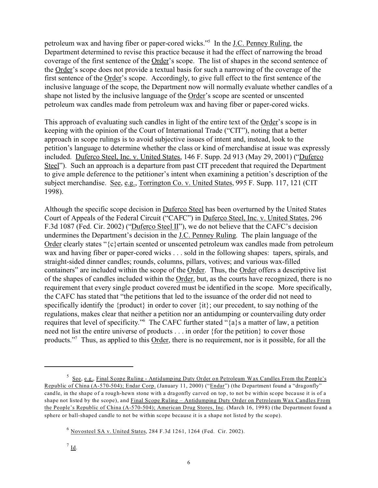petroleum wax and having fiber or paper-cored wicks."<sup>5</sup> In the J.C. Penney Ruling, the Department determined to revise this practice because it had the effect of narrowing the broad coverage of the first sentence of the Order's scope. The list of shapes in the second sentence of the Order's scope does not provide a textual basis for such a narrowing of the coverage of the first sentence of the Order's scope. Accordingly, to give full effect to the first sentence of the inclusive language of the scope, the Department now will normally evaluate whether candles of a shape not listed by the inclusive language of the Order's scope are scented or unscented petroleum wax candles made from petroleum wax and having fiber or paper-cored wicks.

This approach of evaluating such candles in light of the entire text of the Order's scope is in keeping with the opinion of the Court of International Trade ("CIT"), noting that a better approach in scope rulings is to avoid subjective issues of intent and, instead, look to the petition's language to determine whether the class or kind of merchandise at issue was expressly included. Duferco Steel, Inc. v. United States, 146 F. Supp. 2d 913 (May 29, 2001) ("Duferco Steel"). Such an approach is a departure from past CIT precedent that required the Department to give ample deference to the petitioner's intent when examining a petition's description of the subject merchandise. See, e.g., Torrington Co. v. United States, 995 F. Supp. 117, 121 (CIT) 1998).

Although the specific scope decision in Duferco Steel has been overturned by the United States Court of Appeals of the Federal Circuit ("CAFC") in Duferco Steel, Inc. v. United States, 296 F.3d 1087 (Fed. Cir. 2002) ("Duferco Steel II"), we do not believe that the CAFC's decision undermines the Department's decision in the J.C. Penney Ruling. The plain language of the Order clearly states "{c}ertain scented or unscented petroleum wax candles made from petroleum wax and having fiber or paper-cored wicks . . . sold in the following shapes: tapers, spirals, and straight-sided dinner candles; rounds, columns, pillars, votives; and various wax-filled containers" are included within the scope of the Order. Thus, the Order offers a descriptive list of the shapes of candles included within the Order, but, as the courts have recognized, there is no requirement that every single product covered must be identified in the scope. More specifically, the CAFC has stated that "the petitions that led to the issuance of the order did not need to specifically identify the {product} in order to cover {it}; our precedent, to say nothing of the regulations, makes clear that neither a petition nor an antidumping or countervailing duty order requires that level of specificity."<sup>6</sup> The CAFC further stated "{a}s a matter of law, a petition need not list the entire universe of products . . . in order {for the petition} to cover those products."<sup>7</sup> Thus, as applied to this Order, there is no requirement, nor is it possible, for all the

<sup>&</sup>lt;sup>5</sup> See, e.g., Final Scope Ruling - Antidumping Duty Order on Petroleum Wax Candles From the People's Republic of China (A-570-504); Endar Corp. (January 11, 2000) ("Endar") (the Department found a "dragonfly" candle, in the shape of a rough-hewn stone with a dragonfly carved on top, to not be within scope because it is of a shape not listed by the scope), and Final Scope Ruling – Antidumping Duty Order on Petroleum Wax Candles From the People's Republic of China (A-570-504); American Drug Stores, Inc. (March 16, 1998) (the Department found a sphere or ball-shaped candle to not be within scope because it is a shape not listed by the scope).

 $6$  Novosteel SA v. United States, 284 F.3d 1261, 1264 (Fed. Cir. 2002).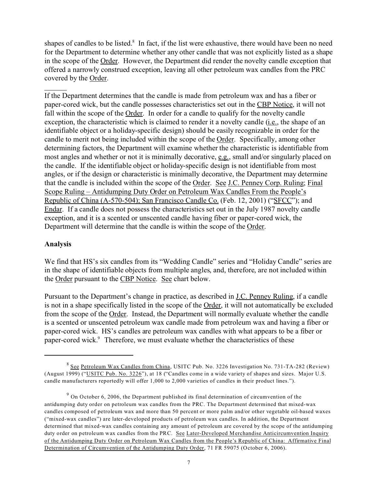shapes of candles to be listed.<sup>8</sup> In fact, if the list were exhaustive, there would have been no need for the Department to determine whether any other candle that was not explicitly listed as a shape in the scope of the Order. However, the Department did render the novelty candle exception that offered a narrowly construed exception, leaving all other petroleum wax candles from the PRC covered by the Order.

If the Department determines that the candle is made from petroleum wax and has a fiber or paper-cored wick, but the candle possesses characteristics set out in the CBP Notice, it will not fall within the scope of the Order. In order for a candle to qualify for the novelty candle exception, the characteristic which is claimed to render it a novelty candle (i.e., the shape of an identifiable object or a holiday-specific design) should be easily recognizable in order for the candle to merit not being included within the scope of the Order. Specifically, among other determining factors, the Department will examine whether the characteristic is identifiable from most angles and whether or not it is minimally decorative, e.g., small and/or singularly placed on the candle. If the identifiable object or holiday-specific design is not identifiable from most angles, or if the design or characteristic is minimally decorative, the Department may determine that the candle is included within the scope of the Order. See J.C. Penney Corp. Ruling; Final Scope Ruling – Antidumping Duty Order on Petroleum Wax Candles From the People's Republic of China (A-570-504); San Francisco Candle Co. (Feb. 12, 2001) ("SFCC"); and Endar. If a candle does not possess the characteristics set out in the July 1987 novelty candle exception, and it is a scented or unscented candle having fiber or paper-cored wick, the Department will determine that the candle is within the scope of the Order.

# **Analysis**

We find that HS's six candles from its "Wedding Candle" series and "Holiday Candle" series are in the shape of identifiable objects from multiple angles, and, therefore, are not included within the Order pursuant to the CBP Notice. See chart below.

Pursuant to the Department's change in practice, as described in J.C. Penney Ruling, if a candle is not in a shape specifically listed in the scope of the Order, it will not automatically be excluded from the scope of the Order. Instead, the Department will normally evaluate whether the candle is a scented or unscented petroleum wax candle made from petroleum wax and having a fiber or paper-cored wick. HS's candles are petroleum wax candles with what appears to be a fiber or paper-cored wick.<sup>9</sup> Therefore, we must evaluate whether the characteristics of these

<sup>&</sup>lt;sup>8</sup> See Petroleum Wax Candles from China, USITC Pub. No. 3226 Investigation No. 731-TA-282 (Review) (August 1999) ("USITC Pub. No. 3226"), at 18 ("Candles come in a wide variety of shapes and sizes. Major U.S. candle manufacturers reportedly will offer 1,000 to 2,000 varieties of candles in their product lines.").

 $9$  On October 6, 2006, the Department published its final determination of circumvention of the antidumping duty order on petroleum wax candles from the PRC. The Department determined that mixed-wax candles composed of petroleum wax and more than 50 percent or more palm and/or other vegetable oil-based waxes ("mixed-wax candles") are later-developed products of petroleum wax candles. In addition, the Department determined that mixed-wax candles containing any amount of petroleum are covered by the scope of the antidumping duty order on petroleum wax candles from the PRC. See Later-Developed Merchandise Anticircumvention Inquiry of the Antidumping Duty Order on Petroleum Wax Candles from the People's Republic of China: Affirmative Final Determination of Circumvention of the Antidumping Duty Order, 71 FR 59075 (October 6, 2006).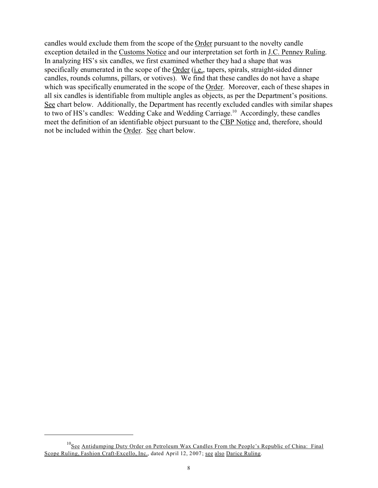candles would exclude them from the scope of the Order pursuant to the novelty candle exception detailed in the Customs Notice and our interpretation set forth in J.C. Penney Ruling. In analyzing HS's six candles, we first examined whether they had a shape that was specifically enumerated in the scope of the Order (i.e., tapers, spirals, straight-sided dinner candles, rounds columns, pillars, or votives). We find that these candles do not have a shape which was specifically enumerated in the scope of the Order. Moreover, each of these shapes in all six candles is identifiable from multiple angles as objects, as per the Department's positions. See chart below. Additionally, the Department has recently excluded candles with similar shapes to two of HS's candles: Wedding Cake and Wedding Carriage.<sup>10</sup> Accordingly, these candles meet the definition of an identifiable object pursuant to the CBP Notice and, therefore, should not be included within the Order. See chart below.

<sup>&</sup>lt;sup>10</sup>See Antidumping Duty Order on Petroleum Wax Candles From the People's Republic of China: Final Scope Ruling, Fashion Craft-Excello, Inc., dated April 12, 2007; see also Darice Ruling.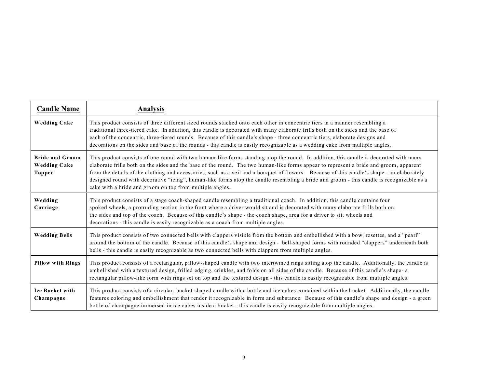| <b>Candle Name</b>                                             | <b>Analysis</b>                                                                                                                                                                                                                                                                                                                                                                                                                                                                                                                                                                                                                       |
|----------------------------------------------------------------|---------------------------------------------------------------------------------------------------------------------------------------------------------------------------------------------------------------------------------------------------------------------------------------------------------------------------------------------------------------------------------------------------------------------------------------------------------------------------------------------------------------------------------------------------------------------------------------------------------------------------------------|
| <b>Wedding Cake</b>                                            | This product consists of three different sized rounds stacked onto each other in concentric tiers in a manner resembling a<br>traditional three-tiered cake. In addition, this candle is decorated with many elaborate frills both on the sides and the base of<br>each of the concentric, three-tiered rounds. Because of this candle's shape - three concentric tiers, elaborate designs and<br>decorations on the sides and base of the rounds - this candle is easily recognizable as a wedding cake from multiple angles.                                                                                                        |
| <b>Bride and Groom</b><br><b>Wedding Cake</b><br><b>Topper</b> | This product consists of one round with two human-like forms standing atop the round. In addition, this candle is decorated with many<br>elaborate frills both on the sides and the base of the round. The two human-like forms appear to represent a bride and groom, apparent<br>from the details of the clothing and accessories, such as a veil and a bouquet of flowers. Because of this candle's shape - an elaborately<br>designed round with decorative "icing", human-like forms atop the candle resembling a bride and groom - this candle is recognizable as a<br>cake with a bride and groom on top from multiple angles. |
| Wedding<br>Carriage                                            | This product consists of a stage coach-shaped candle resembling a traditional coach. In addition, this candle contains four<br>spoked wheels, a protruding section in the front where a driver would sit and is decorated with many elaborate frills both on<br>the sides and top of the coach. Because of this candle's shape - the coach shape, area for a driver to sit, wheels and<br>decorations - this candle is easily recognizable as a coach from multiple angles.                                                                                                                                                           |
| <b>Wedding Bells</b>                                           | This product consists of two connected bells with clappers visible from the bottom and embellished with a bow, rosettes, and a "pearl"<br>around the bottom of the candle. Because of this candle's shape and design - bell-shaped forms with rounded "clappers" underneath both<br>bells - this candle is easily recognizable as two connected bells with clappers from multiple angles.                                                                                                                                                                                                                                             |
| <b>Pillow with Rings</b>                                       | This product consists of a rectangular, pillow-shaped candle with two intertwined rings sitting atop the candle. Additionally, the candle is<br>embellished with a textured design, frilled edging, crinkles, and folds on all sides of the candle. Because of this candle's shape- a<br>rectangular pillow-like form with rings set on top and the textured design - this candle is easily recognizable from multiple angles.                                                                                                                                                                                                        |
| <b>Ice Bucket with</b><br>Champagne                            | This product consists of a circular, bucket-shaped candle with a bottle and ice cubes contained within the bucket. Additionally, the candle<br>features coloring and embellishment that render it recognizable in form and substance. Because of this candle's shape and design - a green<br>bottle of champagne immersed in ice cubes inside a bucket - this candle is easily recognizable from multiple angles.                                                                                                                                                                                                                     |